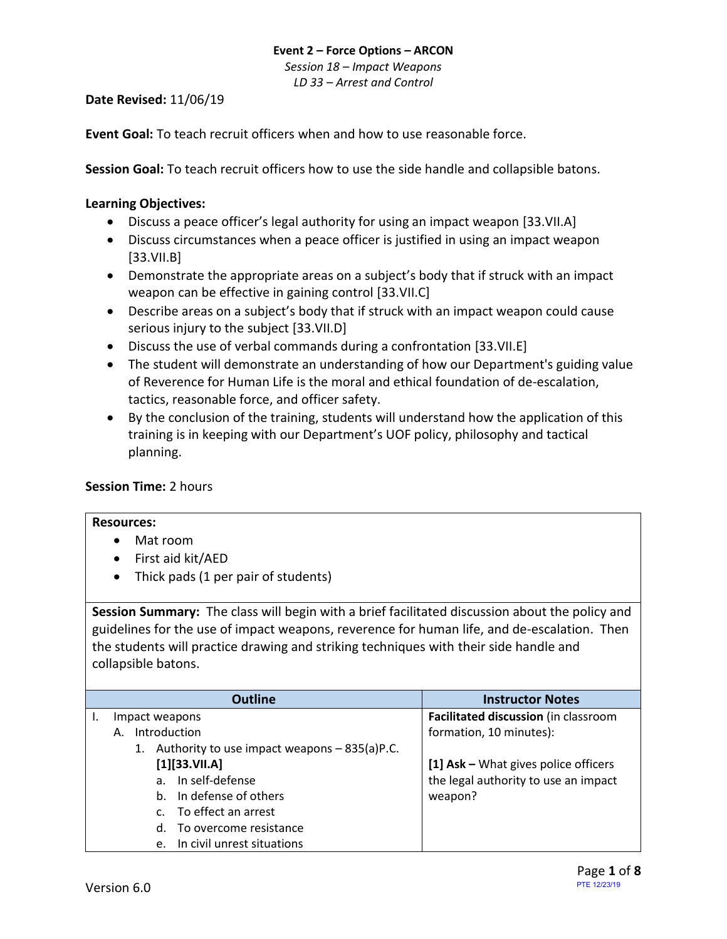*Session 18 – Impact Weapons LD 33 – Arrest and Control*

#### **Date Revised:** 11/06/19

**Event Goal:** To teach recruit officers when and how to use reasonable force.

**Session Goal:** To teach recruit officers how to use the side handle and collapsible batons.

### <span id="page-0-1"></span>**Learning Objectives:**

- [Discuss a peace officer's legal authority for using an impact weapon](#page-0-0) [33.VII.A]
- [Discuss circumstances when a peace officer is justified in using an impact weapon](#page-1-0) [\[33.VII.B\]](#page-1-0)
- Demonstrate [the appropriate areas on a subject's body that if struck with an impact](#page-1-1)  [weapon can be effective in gaining control](#page-1-1) [33.VII.C]
- [Describe areas on a subject's body that if struck with an impact weapon could cause](#page-1-2)  [serious injury to the subject](#page-1-2) [33.VII.D]
- [Discuss the use of verbal commands during a confrontation](#page-1-3) [33.VII.E]
- The student will demonstrate an understanding of how our Department's guiding value of Reverence for Human Life is the moral and ethical foundation of de-escalation, tactics, reasonable force, and officer safety.
- By the conclusion of the training, students will understand how the application of this training is in keeping with our Department's UOF policy, philosophy and tactical planning.

### **Session Time:** 2 hours

### **Resources:**

- Mat room
- First aid kit/AED
- Thick pads (1 per pair of students)

**Session Summary:** The class will begin with a brief facilitated discussion about the policy and guidelines for the use of impact weapons, reverence for human life, and de-escalation. Then the students will practice drawing and striking techniques with their side handle and collapsible batons.

<span id="page-0-0"></span>

| <b>Outline</b>                                     | <b>Instructor Notes</b>              |
|----------------------------------------------------|--------------------------------------|
| Impact weapons                                     | Facilitated discussion (in classroom |
| Introduction<br>А.                                 | formation, 10 minutes):              |
| Authority to use impact weapons – 835(a)P.C.<br>1. |                                      |
| [1][33.VII.A]                                      | [1] Ask - What gives police officers |
| In self-defense<br>a <sub>z</sub>                  | the legal authority to use an impact |
| In defense of others<br>b.                         | weapon?                              |
| To effect an arrest                                |                                      |
| To overcome resistance<br>d.                       |                                      |
| In civil unrest situations<br>e.                   |                                      |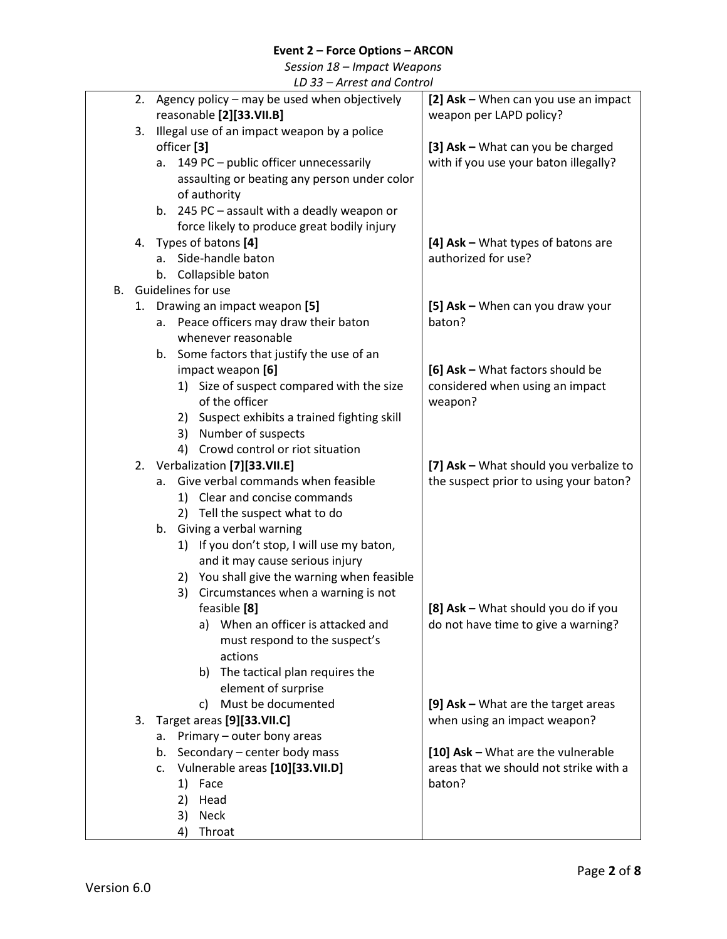*Session 18 – Impact Weapons*

<span id="page-1-3"></span><span id="page-1-2"></span><span id="page-1-1"></span><span id="page-1-0"></span>

|    | LD 33 - Arrest and Control |                        |                                                    |                                        |  |  |  |  |
|----|----------------------------|------------------------|----------------------------------------------------|----------------------------------------|--|--|--|--|
|    | 2.                         |                        | Agency policy – may be used when objectively       | [2] Ask - When can you use an impact   |  |  |  |  |
|    |                            |                        | reasonable [2][33.VII.B]                           | weapon per LAPD policy?                |  |  |  |  |
|    | 3.                         |                        | Illegal use of an impact weapon by a police        |                                        |  |  |  |  |
|    |                            | officer <sup>[3]</sup> |                                                    | [3] Ask - What can you be charged      |  |  |  |  |
|    |                            |                        | a. 149 PC - public officer unnecessarily           | with if you use your baton illegally?  |  |  |  |  |
|    |                            |                        | assaulting or beating any person under color       |                                        |  |  |  |  |
|    |                            |                        | of authority                                       |                                        |  |  |  |  |
|    |                            |                        | b. 245 PC - assault with a deadly weapon or        |                                        |  |  |  |  |
|    |                            |                        | force likely to produce great bodily injury        |                                        |  |  |  |  |
|    | 4.                         |                        | Types of batons [4]                                | [4] Ask - What types of batons are     |  |  |  |  |
|    |                            | a.                     | Side-handle baton                                  | authorized for use?                    |  |  |  |  |
|    |                            | b.                     | Collapsible baton                                  |                                        |  |  |  |  |
| В. |                            | Guidelines for use     |                                                    |                                        |  |  |  |  |
|    | 1.                         |                        | Drawing an impact weapon [5]                       | [5] Ask - When can you draw your       |  |  |  |  |
|    |                            |                        | a. Peace officers may draw their baton             | baton?                                 |  |  |  |  |
|    |                            |                        | whenever reasonable                                |                                        |  |  |  |  |
|    |                            |                        | b. Some factors that justify the use of an         |                                        |  |  |  |  |
|    |                            |                        | impact weapon [6]                                  | [6] Ask - What factors should be       |  |  |  |  |
|    |                            |                        | 1) Size of suspect compared with the size          | considered when using an impact        |  |  |  |  |
|    |                            |                        | of the officer                                     | weapon?                                |  |  |  |  |
|    |                            | 2)                     | Suspect exhibits a trained fighting skill          |                                        |  |  |  |  |
|    |                            | 3)                     | Number of suspects                                 |                                        |  |  |  |  |
|    |                            | 4)                     | Crowd control or riot situation                    |                                        |  |  |  |  |
|    |                            |                        | 2. Verbalization [7][33.VII.E]                     | [7] Ask - What should you verbalize to |  |  |  |  |
|    |                            |                        | a. Give verbal commands when feasible              | the suspect prior to using your baton? |  |  |  |  |
|    |                            |                        | 1) Clear and concise commands                      |                                        |  |  |  |  |
|    |                            |                        | 2) Tell the suspect what to do                     |                                        |  |  |  |  |
|    |                            | b.                     | Giving a verbal warning                            |                                        |  |  |  |  |
|    |                            |                        | 1) If you don't stop, I will use my baton,         |                                        |  |  |  |  |
|    |                            |                        | and it may cause serious injury                    |                                        |  |  |  |  |
|    |                            | 2)                     | You shall give the warning when feasible           |                                        |  |  |  |  |
|    |                            | 3)                     | Circumstances when a warning is not                | [8] Ask - What should you do if you    |  |  |  |  |
|    |                            |                        | feasible [8]<br>a) When an officer is attacked and | do not have time to give a warning?    |  |  |  |  |
|    |                            |                        | must respond to the suspect's                      |                                        |  |  |  |  |
|    |                            |                        | actions                                            |                                        |  |  |  |  |
|    |                            |                        | b) The tactical plan requires the                  |                                        |  |  |  |  |
|    |                            |                        | element of surprise                                |                                        |  |  |  |  |
|    |                            |                        | Must be documented<br>C)                           | [9] Ask - What are the target areas    |  |  |  |  |
|    | 3.                         |                        | Target areas [9][33.VII.C]                         | when using an impact weapon?           |  |  |  |  |
|    |                            | a.                     | Primary - outer bony areas                         |                                        |  |  |  |  |
|    |                            | b.                     | Secondary - center body mass                       | [10] Ask - What are the vulnerable     |  |  |  |  |
|    |                            | c.                     | Vulnerable areas [10][33.VII.D]                    | areas that we should not strike with a |  |  |  |  |
|    |                            | 1)                     | Face                                               | baton?                                 |  |  |  |  |
|    |                            | 2)                     | Head                                               |                                        |  |  |  |  |
|    |                            | 3)                     | <b>Neck</b>                                        |                                        |  |  |  |  |
|    |                            | 4)                     | Throat                                             |                                        |  |  |  |  |
|    |                            |                        |                                                    |                                        |  |  |  |  |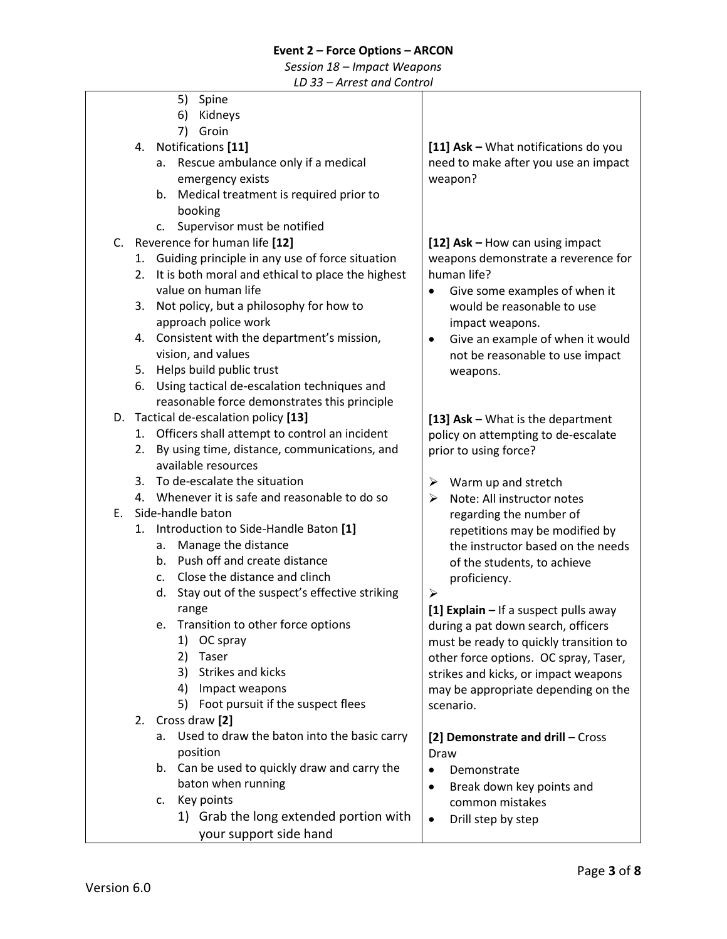### *Session 18 – Impact Weapons*

*LD 33 – Arrest and Control*

5) Spine 6) Kidneys 7) Groin 4. Notifications **[11]** a. Rescue ambulance only if a medical emergency exists b. Medical treatment is required prior to booking c. Supervisor must be notified C. Reverence for human life **[12]** 1. Guiding principle in any use of force situation 2. It is both moral and ethical to place the highest value on human life 3. Not policy, but a philosophy for how to approach police work 4. Consistent with the department's mission, vision, and values 5. Helps build public trust 6. Using tactical de-escalation techniques and reasonable force demonstrates this principle D. Tactical de-escalation policy **[13]** 1. Officers shall attempt to control an incident 2. By using time, distance, communications, and available resources 3. To de-escalate the situation 4. Whenever it is safe and reasonable to do so E. Side-handle baton 1. Introduction to Side-Handle Baton **[1]** a. Manage the distance b. Push off and create distance c. Close the distance and clinch d. Stay out of the suspect's effective striking range e. Transition to other force options 1) OC spray 2) Taser 3) Strikes and kicks 4) Impact weapons 5) Foot pursuit if the suspect flees 2. Cross draw **[2]** a. Used to draw the baton into the basic carry position b. Can be used to quickly draw and carry the baton when running c. Key points 1) Grab the long extended portion with your support side hand **[11] Ask –** What notifications do you need to make after you use an impact weapon? **[12] Ask –** How can using impact weapons demonstrate a reverence for human life? • Give some examples of when it would be reasonable to use impact weapons. • Give an example of when it would not be reasonable to use impact weapons. **[13] Ask –** What is the department policy on attempting to de-escalate prior to using force?  $\triangleright$  Warm up and stretch ➢ Note: All instructor notes regarding the number of repetitions may be modified by the instructor based on the needs of the students, to achieve proficiency. ➢ **[1] Explain –** If a suspect pulls away during a pat down search, officers must be ready to quickly transition to other force options. OC spray, Taser, strikes and kicks, or impact weapons may be appropriate depending on the scenario. **[2] Demonstrate and drill –** Cross Draw • Demonstrate • Break down key points and common mistakes • Drill step by step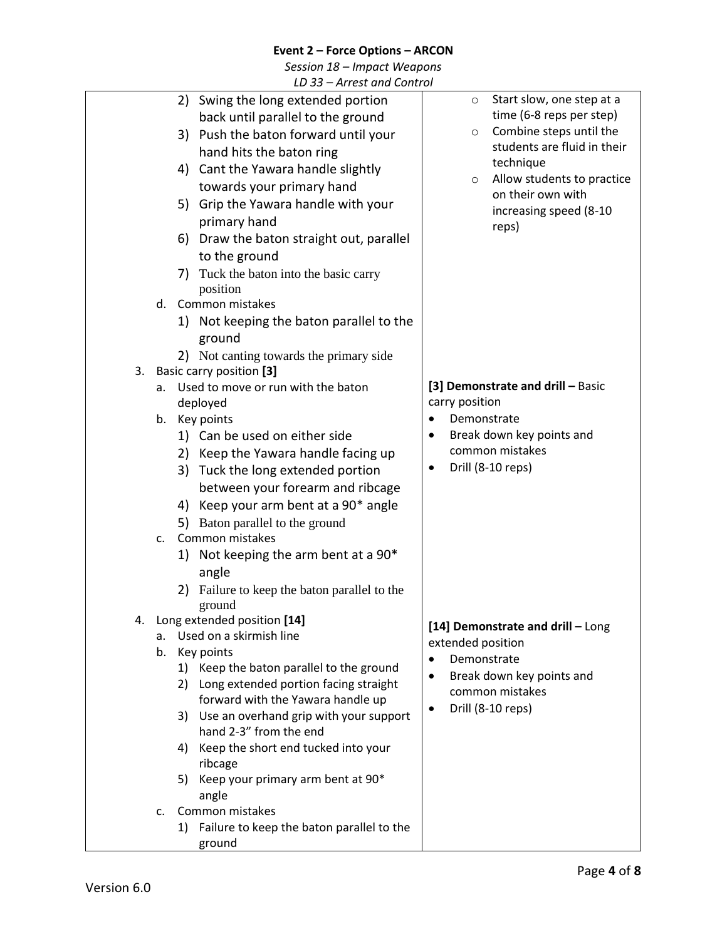*Session 18 – Impact Weapons*

|    |    | LD 33 - Arrest and Control                          |           |                |                                   |
|----|----|-----------------------------------------------------|-----------|----------------|-----------------------------------|
|    |    | 2) Swing the long extended portion                  |           | $\circ$        | Start slow, one step at a         |
|    |    | back until parallel to the ground                   |           |                | time (6-8 reps per step)          |
|    |    | 3) Push the baton forward until your                |           | $\circ$        | Combine steps until the           |
|    |    | hand hits the baton ring                            |           |                | students are fluid in their       |
|    |    | 4) Cant the Yawara handle slightly                  |           |                | technique                         |
|    |    | towards your primary hand                           |           | $\circ$        | Allow students to practice        |
|    |    | 5) Grip the Yawara handle with your                 |           |                | on their own with                 |
|    |    | primary hand                                        |           |                | increasing speed (8-10            |
|    |    | 6) Draw the baton straight out, parallel            |           |                | reps)                             |
|    |    | to the ground                                       |           |                |                                   |
|    |    | 7) Tuck the baton into the basic carry              |           |                |                                   |
|    |    | position                                            |           |                |                                   |
| d. |    | Common mistakes                                     |           |                |                                   |
|    |    | 1) Not keeping the baton parallel to the            |           |                |                                   |
|    |    | ground                                              |           |                |                                   |
|    |    | 2) Not canting towards the primary side             |           |                |                                   |
| 3. |    | Basic carry position [3]                            |           |                |                                   |
| a. |    | Used to move or run with the baton                  |           |                | [3] Demonstrate and drill - Basic |
|    |    | deployed                                            |           | carry position |                                   |
| b. |    | Key points                                          | $\bullet$ |                | Demonstrate                       |
|    |    | 1) Can be used on either side                       | ٠         |                | Break down key points and         |
|    |    | 2) Keep the Yawara handle facing up                 |           |                | common mistakes                   |
|    |    | 3) Tuck the long extended portion                   |           |                | Drill (8-10 reps)                 |
|    |    | between your forearm and ribcage                    |           |                |                                   |
|    |    | 4) Keep your arm bent at a 90* angle                |           |                |                                   |
|    |    | 5) Baton parallel to the ground                     |           |                |                                   |
| C. |    | Common mistakes                                     |           |                |                                   |
|    |    | 1) Not keeping the arm bent at a 90*                |           |                |                                   |
|    |    | angle                                               |           |                |                                   |
|    |    | 2) Failure to keep the baton parallel to the        |           |                |                                   |
|    |    | ground<br>4. Long extended position [14]            |           |                |                                   |
| a. |    | Used on a skirmish line                             |           |                | [14] Demonstrate and drill - Long |
| b. |    | Key points                                          |           |                | extended position                 |
|    |    | 1) Keep the baton parallel to the ground            | ٠         |                | Demonstrate                       |
|    |    | 2) Long extended portion facing straight            | $\bullet$ |                | Break down key points and         |
|    |    | forward with the Yawara handle up                   |           |                | common mistakes                   |
|    |    | 3) Use an overhand grip with your support           | $\bullet$ |                | Drill (8-10 reps)                 |
|    |    | hand 2-3" from the end                              |           |                |                                   |
|    | 4) | Keep the short end tucked into your                 |           |                |                                   |
|    |    | ribcage                                             |           |                |                                   |
|    | 5) | Keep your primary arm bent at 90*                   |           |                |                                   |
|    |    | angle                                               |           |                |                                   |
| c. |    | Common mistakes                                     |           |                |                                   |
|    | 1) | Failure to keep the baton parallel to the<br>ground |           |                |                                   |
|    |    |                                                     |           |                |                                   |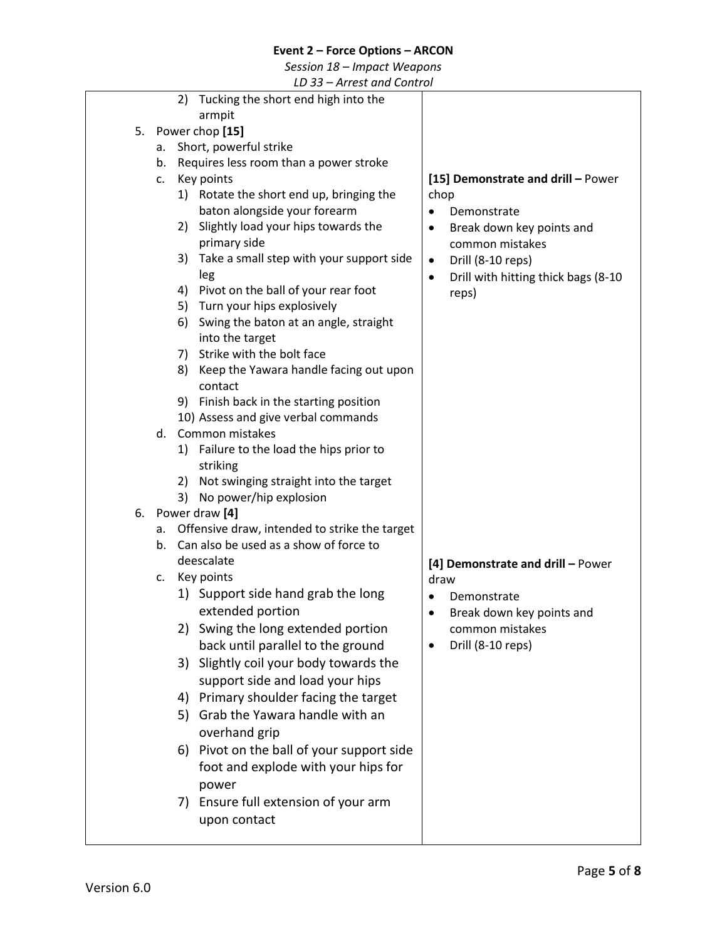# *Session 18 – Impact Weapons*

|    |    |    | LD 33 – Arrest and Control                                                              |                                              |
|----|----|----|-----------------------------------------------------------------------------------------|----------------------------------------------|
|    |    | 2) | Tucking the short end high into the                                                     |                                              |
|    |    |    | armpit                                                                                  |                                              |
| 5. |    |    | Power chop [15]                                                                         |                                              |
|    | а. |    | Short, powerful strike                                                                  |                                              |
|    | b. |    | Requires less room than a power stroke                                                  |                                              |
|    | c. |    | Key points                                                                              | [15] Demonstrate and drill - Power           |
|    |    |    | 1) Rotate the short end up, bringing the                                                | chop                                         |
|    |    |    | baton alongside your forearm                                                            | Demonstrate<br>$\bullet$                     |
|    |    | 2) | Slightly load your hips towards the                                                     | Break down key points and<br>$\bullet$       |
|    |    |    | primary side                                                                            | common mistakes                              |
|    |    | 3) | Take a small step with your support side                                                | Drill (8-10 reps)<br>$\bullet$               |
|    |    | 4) | leg<br>Pivot on the ball of your rear foot                                              | Drill with hitting thick bags (8-10<br>٠     |
|    |    |    | 5) Turn your hips explosively                                                           | reps)                                        |
|    |    | 6) | Swing the baton at an angle, straight                                                   |                                              |
|    |    |    | into the target                                                                         |                                              |
|    |    | 7) | Strike with the bolt face                                                               |                                              |
|    |    | 8) | Keep the Yawara handle facing out upon                                                  |                                              |
|    |    |    | contact                                                                                 |                                              |
|    |    |    | 9) Finish back in the starting position                                                 |                                              |
|    |    |    | 10) Assess and give verbal commands                                                     |                                              |
|    | d. |    | Common mistakes                                                                         |                                              |
|    |    |    | 1) Failure to the load the hips prior to                                                |                                              |
|    |    |    | striking                                                                                |                                              |
|    |    | 2) | Not swinging straight into the target                                                   |                                              |
|    |    | 3) | No power/hip explosion                                                                  |                                              |
| 6. |    |    | Power draw [4]                                                                          |                                              |
|    | а. |    | Offensive draw, intended to strike the target<br>Can also be used as a show of force to |                                              |
|    | b. |    | deescalate                                                                              |                                              |
|    | C. |    | Key points                                                                              | [4] Demonstrate and drill - Power            |
|    |    |    | 1) Support side hand grab the long                                                      | draw                                         |
|    |    |    | extended portion                                                                        | Demonstrate<br>٠                             |
|    |    |    | 2) Swing the long extended portion                                                      | Break down key points and<br>common mistakes |
|    |    |    | back until parallel to the ground                                                       | Drill (8-10 reps)<br>$\bullet$               |
|    |    |    |                                                                                         |                                              |
|    |    | 3) | Slightly coil your body towards the                                                     |                                              |
|    |    |    | support side and load your hips                                                         |                                              |
|    |    | 4) | Primary shoulder facing the target                                                      |                                              |
|    |    | 5) | Grab the Yawara handle with an                                                          |                                              |
|    |    |    | overhand grip                                                                           |                                              |
|    |    |    | 6) Pivot on the ball of your support side                                               |                                              |
|    |    |    | foot and explode with your hips for                                                     |                                              |
|    |    |    | power                                                                                   |                                              |
|    |    | 7) | Ensure full extension of your arm                                                       |                                              |
|    |    |    | upon contact                                                                            |                                              |
|    |    |    |                                                                                         |                                              |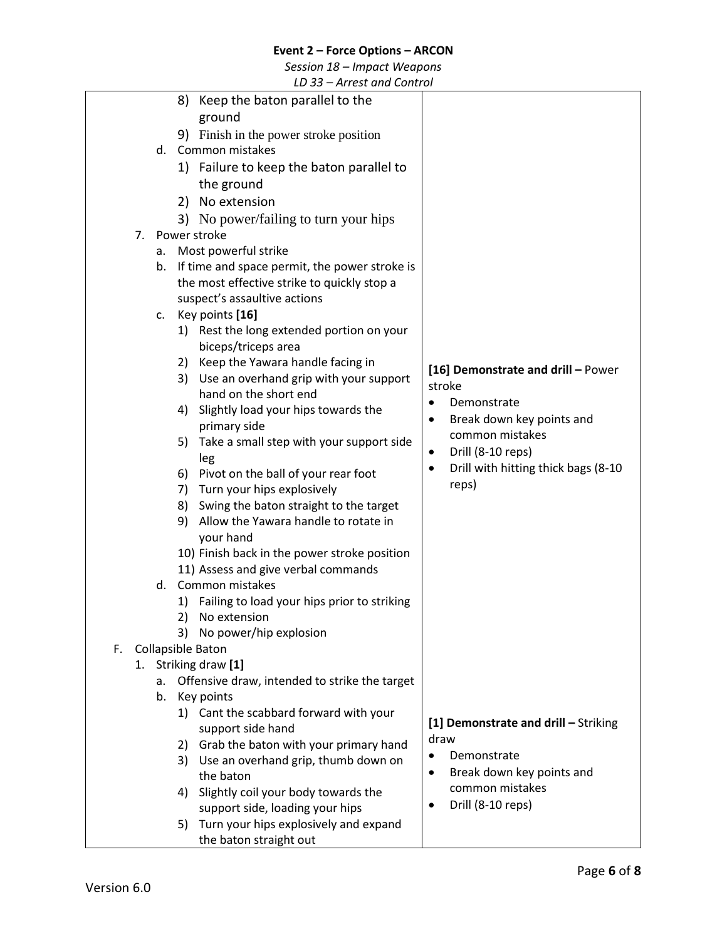*Session 18 – Impact Weapons*

|    |    |    |    | LD 33 Antest and control                       |                                          |
|----|----|----|----|------------------------------------------------|------------------------------------------|
|    |    |    | 8) | Keep the baton parallel to the                 |                                          |
|    |    |    |    | ground                                         |                                          |
|    |    |    |    | 9) Finish in the power stroke position         |                                          |
|    |    |    |    | d. Common mistakes                             |                                          |
|    |    |    |    | 1) Failure to keep the baton parallel to       |                                          |
|    |    |    |    | the ground                                     |                                          |
|    |    |    |    |                                                |                                          |
|    |    |    |    | 2) No extension                                |                                          |
|    |    |    |    | 3) No power/failing to turn your hips          |                                          |
|    | 7. |    |    | Power stroke                                   |                                          |
|    |    | a. |    | Most powerful strike                           |                                          |
|    |    | b. |    | If time and space permit, the power stroke is  |                                          |
|    |    |    |    | the most effective strike to quickly stop a    |                                          |
|    |    |    |    | suspect's assaultive actions                   |                                          |
|    |    |    |    | c. Key points [16]                             |                                          |
|    |    |    |    | 1) Rest the long extended portion on your      |                                          |
|    |    |    |    | biceps/triceps area                            |                                          |
|    |    |    | 2) | Keep the Yawara handle facing in               | [16] Demonstrate and drill - Power       |
|    |    |    | 3) | Use an overhand grip with your support         | stroke                                   |
|    |    |    |    | hand on the short end                          | Demonstrate<br>$\bullet$                 |
|    |    |    | 4) | Slightly load your hips towards the            | Break down key points and<br>٠           |
|    |    |    |    | primary side                                   | common mistakes                          |
|    |    |    | 5) | Take a small step with your support side       |                                          |
|    |    |    |    | leg                                            | Drill (8-10 reps)<br>$\bullet$           |
|    |    |    | 6) | Pivot on the ball of your rear foot            | Drill with hitting thick bags (8-10<br>٠ |
|    |    |    | 7) | Turn your hips explosively                     | reps)                                    |
|    |    |    | 8) | Swing the baton straight to the target         |                                          |
|    |    |    | 9) | Allow the Yawara handle to rotate in           |                                          |
|    |    |    |    | your hand                                      |                                          |
|    |    |    |    | 10) Finish back in the power stroke position   |                                          |
|    |    |    |    | 11) Assess and give verbal commands            |                                          |
|    |    | d. |    | Common mistakes                                |                                          |
|    |    |    |    | 1) Failing to load your hips prior to striking |                                          |
|    |    |    |    | 2) No extension                                |                                          |
|    |    |    | 3) | No power/hip explosion                         |                                          |
| F. |    |    |    | <b>Collapsible Baton</b>                       |                                          |
|    | 1. |    |    | Striking draw [1]                              |                                          |
|    |    | a. |    | Offensive draw, intended to strike the target  |                                          |
|    |    | b. |    | Key points                                     |                                          |
|    |    |    |    | 1) Cant the scabbard forward with your         |                                          |
|    |    |    |    | support side hand                              | [1] Demonstrate and drill - Striking     |
|    |    |    | 2) | Grab the baton with your primary hand          | draw                                     |
|    |    |    | 3) | Use an overhand grip, thumb down on            | Demonstrate                              |
|    |    |    |    | the baton                                      | Break down key points and                |
|    |    |    | 4) | Slightly coil your body towards the            | common mistakes                          |
|    |    |    |    | support side, loading your hips                | Drill (8-10 reps)<br>٠                   |
|    |    |    | 5) | Turn your hips explosively and expand          |                                          |
|    |    |    |    | the baton straight out                         |                                          |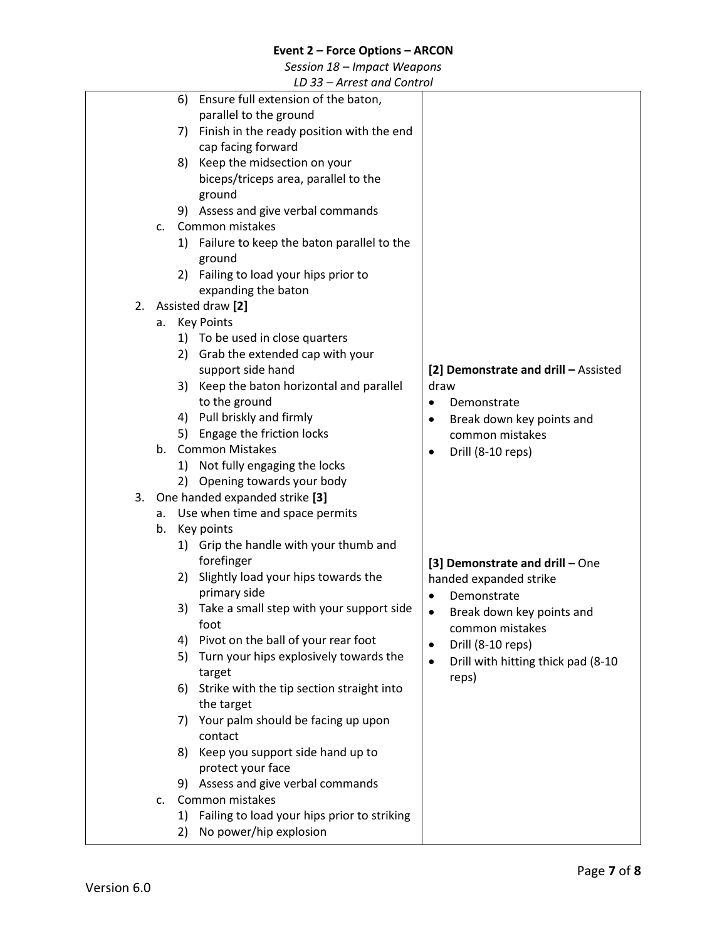*Session 18 – Impact Weapons*

|    |    | LD 33 – Arrest and Control                        |                                                 |
|----|----|---------------------------------------------------|-------------------------------------------------|
|    |    | 6) Ensure full extension of the baton,            |                                                 |
|    |    | parallel to the ground                            |                                                 |
|    |    | 7) Finish in the ready position with the end      |                                                 |
|    |    | cap facing forward                                |                                                 |
|    |    | Keep the midsection on your<br>8)                 |                                                 |
|    |    | biceps/triceps area, parallel to the              |                                                 |
|    |    | ground                                            |                                                 |
|    |    | 9) Assess and give verbal commands                |                                                 |
|    | c. | Common mistakes                                   |                                                 |
|    |    | 1) Failure to keep the baton parallel to the      |                                                 |
|    |    | ground                                            |                                                 |
|    |    | 2) Failing to load your hips prior to             |                                                 |
|    |    | expanding the baton                               |                                                 |
| 2. |    | Assisted draw [2]                                 |                                                 |
|    |    |                                                   |                                                 |
|    | а. | Key Points                                        |                                                 |
|    |    | 1) To be used in close quarters                   |                                                 |
|    |    | 2) Grab the extended cap with your                |                                                 |
|    |    | support side hand                                 | [2] Demonstrate and drill - Assisted            |
|    |    | 3) Keep the baton horizontal and parallel         | draw                                            |
|    |    | to the ground                                     | Demonstrate<br>$\bullet$                        |
|    |    | 4) Pull briskly and firmly                        | Break down key points and<br>$\bullet$          |
|    |    | 5) Engage the friction locks                      | common mistakes                                 |
|    | b. | <b>Common Mistakes</b>                            | Drill (8-10 reps)                               |
|    |    | 1) Not fully engaging the locks                   |                                                 |
|    |    | 2) Opening towards your body                      |                                                 |
|    |    | 3. One handed expanded strike [3]                 |                                                 |
|    | a. | Use when time and space permits                   |                                                 |
|    | b. | Key points                                        |                                                 |
|    |    | 1) Grip the handle with your thumb and            |                                                 |
|    |    | forefinger                                        | [3] Demonstrate and drill - One                 |
|    |    | Slightly load your hips towards the<br>2)         | handed expanded strike                          |
|    |    | primary side                                      | Demonstrate<br>$\bullet$                        |
|    |    | Take a small step with your support side<br>3)    | Break down key points and<br>$\bullet$          |
|    |    | foot                                              |                                                 |
|    |    | Pivot on the ball of your rear foot<br>4)         | common mistakes                                 |
|    |    | Turn your hips explosively towards the<br>5)      | Drill (8-10 reps)<br>$\bullet$                  |
|    |    | target                                            | Drill with hitting thick pad (8-10<br>$\bullet$ |
|    |    | Strike with the tip section straight into<br>6)   | reps)                                           |
|    |    | the target                                        |                                                 |
|    |    | Your palm should be facing up upon                |                                                 |
|    |    | 7)                                                |                                                 |
|    |    | contact                                           |                                                 |
|    |    | Keep you support side hand up to<br>8)            |                                                 |
|    |    | protect your face                                 |                                                 |
|    |    | 9) Assess and give verbal commands                |                                                 |
|    | c. | Common mistakes                                   |                                                 |
|    |    | Failing to load your hips prior to striking<br>1) |                                                 |
|    |    | No power/hip explosion<br>2)                      |                                                 |